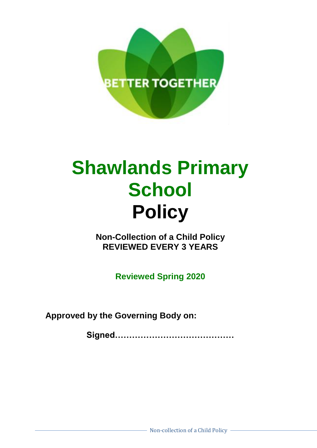

## **Shawlands Primary School Policy**

**Non-Collection of a Child Policy REVIEWED EVERY 3 YEARS**

**Reviewed Spring 2020**

**Approved by the Governing Body on:**

**Signed……………………………………**